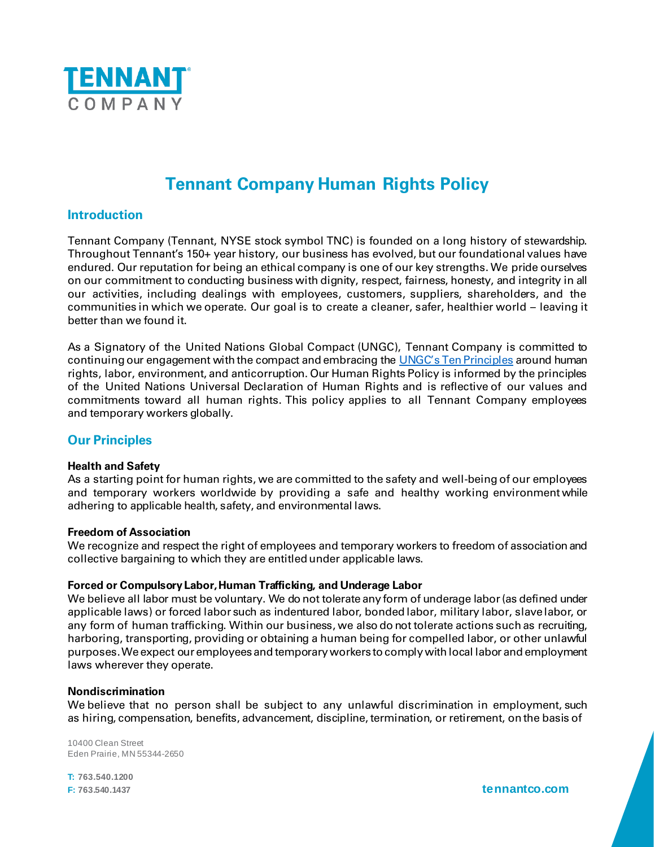

# **Tennant Company Human Rights Policy**

# **Introduction**

Tennant Company (Tennant, NYSE stock symbol TNC) is founded on a long history of stewardship. Throughout Tennant's 150+ year history, our business has evolved, but our foundational values have endured. Our reputation for being an ethical company is one of our key strengths. We pride ourselves on our commitment to conducting business with dignity, respect, fairness, honesty, and integrity in all our activities, including dealings with employees, customers, suppliers, shareholders, and the communities in which we operate. Our goal is to create a cleaner, safer, healthier world – leaving it better than we found it.

As a Signatory of the United Nations Global Compact (UNGC), Tennant Company is committed to continuing our engagement with the compact and embracing the [UNGC's Ten Principles](https://www.unglobalcompact.org/what-is-gc/mission/principles) around human rights, labor, environment, and anticorruption. Our Human Rights Policy is informed by the principles of the United Nations Universal Declaration of Human Rights and is reflective of our values and commitments toward all human rights. This policy applies to all Tennant Company employees and temporary workers globally.

# **Our Principles**

## **Health and Safety**

As a starting point for human rights, we are committed to the safety and well-being of our employees and temporary workers worldwide by providing a safe and healthy working environment while adhering to applicable health, safety, and environmental laws.

#### **Freedom of Association**

We recognize and respect the right of employees and temporary workers to freedom of association and collective bargaining to which they are entitled under applicable laws.

## **Forced or Compulsory Labor,Human Trafficking, and Underage Labor**

We believe all labor must be voluntary. We do not tolerate any form of underage labor(as defined under applicable laws) or forced labor such as indentured labor, bonded labor, military labor, slave labor, or any form of human trafficking. Within our business, we also do not tolerate actions such as recruiting, harboring, transporting, providing or obtaining a human being for compelled labor, or other unlawful purposes. We expect our employeesand temporary workers to comply with local labor and employment laws wherever they operate.

#### **Nondiscrimination**

We believe that no person shall be subject to any unlawful discrimination in employment, such as hiring, compensation, benefits, advancement, discipline, termination, or retirement, on the basis of

10400 Clean Street Eden Prairie, MN 55344-2650

**T: 763.540.1200**

**F: 763.540.1437 tennantco.com**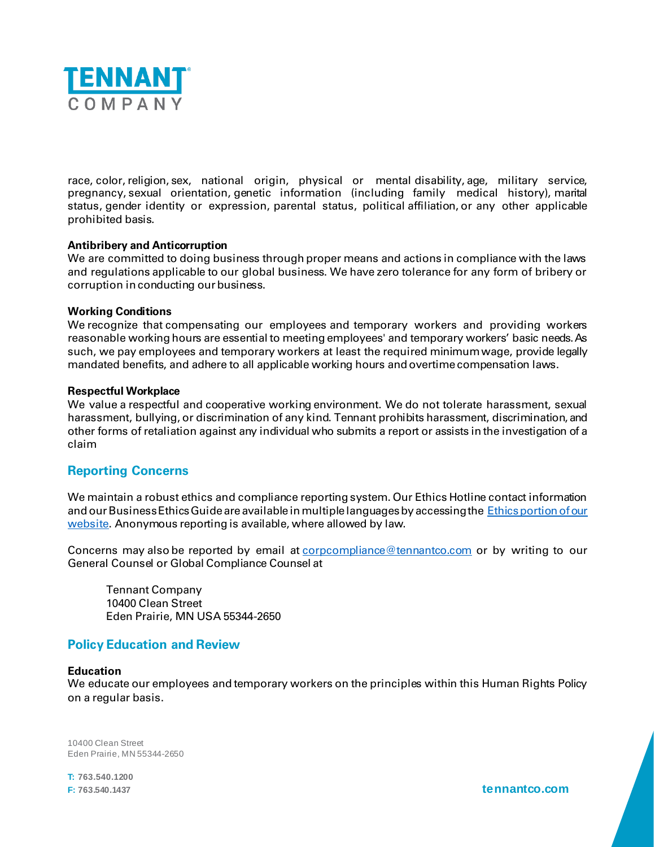

race, color,religion, sex, national origin, physical or mental disability, age, military service, pregnancy, sexual orientation, genetic information (including family medical history), marital status, gender identity or expression, parental status, political affiliation, or any other applicable prohibited basis.

## **Antibribery and Anticorruption**

We are committed to doing business through proper means and actions in compliance with the laws and regulations applicable to our global business. We have zero tolerance for any form of bribery or corruption in conducting our business.

#### **Working Conditions**

We recognize that compensating our employees and temporary workers and providing workers reasonable working hours are essential to meeting employees' and temporary workers' basic needs.As such, we pay employees and temporary workers at least the required minimum wage, provide legally mandated benefits, and adhere to all applicable working hours and overtime compensation laws.

#### **Respectful Workplace**

We value a respectful and cooperative working environment. We do not tolerate harassment, sexual harassment, bullying, or discrimination of any kind. Tennant prohibits harassment, discrimination, and other forms of retaliation against any individual who submits a report or assists in the investigation of a claim

# **Reporting Concerns**

We maintain a robust ethics and compliance reporting system. Our Ethics Hotline contact information and our Business Ethics Guide are available in multiple languages by accessing the Ethics portion of our [website.](https://www.tennantco.com/en_us/about-us/corporate-citizenship/ethics-and-business-conduct.html) Anonymous reporting is available, where allowed by law.

Concerns may also be reported by email at [corpcompliance@tennantco.com](mailto:corpcompliance@tennantco.com?subject=Human%20Rights%20Policy-%20Reporting%20Concern) or by writing to our General Counsel or Global Compliance Counsel at

Tennant Company 10400 Clean Street Eden Prairie, MN USA 55344-2650

## **Policy Education and Review**

#### **Education**

We educate our employees and temporary workers on the principles within this Human Rights Policy on a regular basis.

10400 Clean Street Eden Prairie, MN 55344-2650

**T: 763.540.1200**

**F: 763.540.1437 tennantco.com**